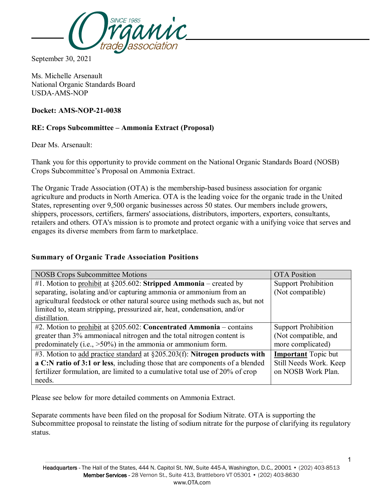

September 30, 2021

Ms. Michelle Arsenault National Organic Standards Board USDA-AMS-NOP

#### **Docket: AMS-NOP-21-0038**

#### **RE: Crops Subcommittee – Ammonia Extract (Proposal)**

Dear Ms. Arsenault:

Thank you for this opportunity to provide comment on the National Organic Standards Board (NOSB) Crops Subcommittee's Proposal on Ammonia Extract.

The Organic Trade Association (OTA) is the membership-based business association for organic agriculture and products in North America. OTA is the leading voice for the organic trade in the United States, representing over 9,500 organic businesses across 50 states. Our members include growers, shippers, processors, certifiers, farmers' associations, distributors, importers, exporters, consultants, retailers and others. OTA's mission is to promote and protect organic with a unifying voice that serves and engages its diverse members from farm to marketplace.

#### **Summary of Organic Trade Association Positions**

| <b>NOSB Crops Subcommittee Motions</b>                                         | <b>OTA</b> Position        |
|--------------------------------------------------------------------------------|----------------------------|
| #1. Motion to prohibit at $\S 205.602$ : Stripped Ammonia – created by         | <b>Support Prohibition</b> |
| separating, isolating and/or capturing ammonia or ammonium from an             | (Not compatible)           |
| agricultural feedstock or other natural source using methods such as, but not  |                            |
| limited to, steam stripping, pressurized air, heat, condensation, and/or       |                            |
| distillation.                                                                  |                            |
| #2. Motion to prohibit at $\S 205.602$ : Concentrated Ammonia – contains       | <b>Support Prohibition</b> |
| greater than 3% ammoniacal nitrogen and the total nitrogen content is          | (Not compatible, and       |
| predominately (i.e., $>50\%$ ) in the ammonia or ammonium form.                | more complicated)          |
| #3. Motion to add practice standard at $\S205.203(f)$ : Nitrogen products with | <b>Important</b> Topic but |
| a C:N ratio of 3:1 or less, including those that are components of a blended   | Still Needs Work. Keep     |
| fertilizer formulation, are limited to a cumulative total use of 20% of crop   | on NOSB Work Plan.         |
| needs.                                                                         |                            |

Please see below for more detailed comments on Ammonia Extract.

Separate comments have been filed on the proposal for Sodium Nitrate. OTA is supporting the Subcommittee proposal to reinstate the listing of sodium nitrate for the purpose of clarifying its regulatory status.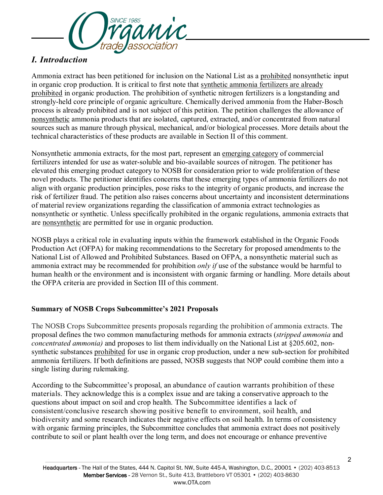

# *I. Introduction*

Ammonia extract has been petitioned for inclusion on the National List as a prohibited nonsynthetic input in organic crop production. It is critical to first note that synthetic ammonia fertilizers are already prohibited in organic production. The prohibition of synthetic nitrogen fertilizers is a longstanding and strongly-held core principle of organic agriculture. Chemically derived ammonia from the Haber-Bosch process is already prohibited and is not subject of this petition. The petition challenges the allowance of nonsynthetic ammonia products that are isolated, captured, extracted, and/or concentrated from natural sources such as manure through physical, mechanical, and/or biological processes. More details about the technical characteristics of these products are available in Section II of this comment.

Nonsynthetic ammonia extracts, for the most part, represent an <u>emerging category</u> of commercial fertilizers intended for use as water-soluble and bio-available sources of nitrogen. The petitioner has elevated this emerging product category to NOSB for consideration prior to wide proliferation of these novel products. The petitioner identifies concerns that these emerging types of ammonia fertilizers do not align with organic production principles, pose risks to the integrity of organic products, and increase the risk of fertilizer fraud. The petition also raises concerns about uncertainty and inconsistent determinations of material review organizations regarding the classification of ammonia extract technologies as nonsynthetic or synthetic. Unless specifically prohibited in the organic regulations, ammonia extracts that are nonsynthetic are permitted for use in organic production.

NOSB plays a critical role in evaluating inputs within the framework established in the Organic Foods Production Act (OFPA) for making recommendations to the Secretary for proposed amendments to the National List of Allowed and Prohibited Substances. Based on OFPA, a nonsynthetic material such as ammonia extract may be recommended for prohibition *only if* use of the substance would be harmful to human health or the environment and is inconsistent with organic farming or handling. More details about the OFPA criteria are provided in Section III of this comment.

## **Summary of NOSB Crops Subcommittee's 2021 Proposals**

The NOSB Crops Subcommittee presents proposals regarding the prohibition of ammonia extracts. The proposal defines the two common manufacturing methods for ammonia extracts (*stripped ammonia* and *concentrated ammonia)* and proposes to list them individually on the National List at §205.602, nonsynthetic substances prohibited for use in organic crop production, under a new sub-section for prohibited ammonia fertilizers. If both definitions are passed, NOSB suggests that NOP could combine them into a single listing during rulemaking.

According to the Subcommittee's proposal, an abundance of caution warrants prohibition of these materials. They acknowledge this is a complex issue and are taking a conservative approach to the questions about impact on soil and crop health. The Subcommittee identifies a lack of consistent/conclusive research showing positive benefit to environment, soil health, and biodiversity and some research indicates their negative effects on soil health. In terms of consistency with organic farming principles, the Subcommittee concludes that ammonia extract does not positively contribute to soil or plant health over the long term, and does not encourage or enhance preventive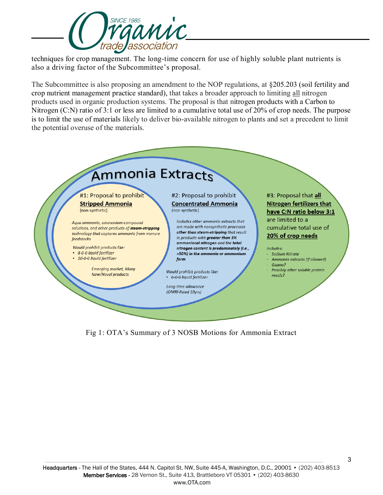

techniques for crop management. The long-time concern for use of highly soluble plant nutrients is also a driving factor of the Subcommittee's proposal.

The Subcommittee is also proposing an amendment to the NOP regulations, at §205.203 (soil fertility and crop nutrient management practice standard), that takes a broader approach to limiting all nitrogen products used in organic production systems. The proposal is that nitrogen products with a Carbon to Nitrogen (C:N) ratio of 3:1 or less are limited to a cumulative total use of 20% of crop needs. The purpose is to limit the use of materials likely to deliver bio-available nitrogen to plants and set a precedent to limit the potential overuse of the materials.



Fig 1: OTA's Summary of 3 NOSB Motions for Ammonia Extract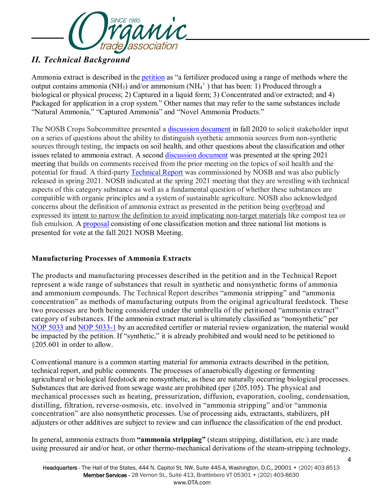

# *II. Technical Background*

Ammonia extract is described in the [petition](https://www.ams.usda.gov/sites/default/files/media/Petition_Ammonia_Extract_05222020.pdf) as "a fertilizer produced using a range of methods where the output contains ammonia (NH<sub>3</sub>) and/or ammonium (NH<sub>4</sub><sup>+</sup>) that has been: 1) Produced through a biological or physical process; 2) Captured in a liquid form; 3) Concentrated and/or extracted; and 4) Packaged for application in a crop system." Other names that may refer to the same substances include "Natural Ammonia," "Captured Ammonia" and "Novel Ammonia Products."

The NOSB Crops Subcommittee presented a [discussion document](https://www.ams.usda.gov/sites/default/files/media/CSAmmoniaExtract.pdf) in fall 2020 to solicit stakeholder input on a series of questions about the ability to distinguish synthetic ammonia sources from non-synthetic sources through testing, the impacts on soil health, and other questions about the classification and other issues related to ammonia extract. A second [discussion document](https://www.ams.usda.gov/sites/default/files/media/CSAmmoniaExtract_0.pdf) was presented at the spring 2021 meeting that builds on comments received from the prior meeting on the topics of soil health and the potential for fraud. A third-party [Technical Report](https://www.ams.usda.gov/sites/default/files/media/AmmoniaExtractTR2021.pdf) was commissioned by NOSB and was also publicly released in spring 2021. NOSB indicated at the spring 2021 meeting that they are wrestling with technical aspects of this category substance as well as a fundamental question of whether these substances are compatible with organic principles and a system of sustainable agriculture. NOSB also acknowledged concerns about the definition of ammonia extract as presented in the petition being overbroad and expressed its intent to narrow the definition to avoid implicating non-target materials like compost tea or fish emulsion. A [proposal](https://www.ams.usda.gov/sites/default/files/media/CSAmmoniaExtractProposal.pdf) consisting of one classification motion and three national list motions is presented for vote at the fall 2021 NOSB Meeting.

## **Manufacturing Processes of Ammonia Extracts**

The products and manufacturing processes described in the petition and in the Technical Report represent a wide range of substances that result in synthetic and nonsynthetic forms of ammonia and ammonium compounds. The Technical Report describes "ammonia stripping" and "ammonia concentration" as methods of manufacturing outputs from the original agricultural feedstock. These two processes are both being considered under the umbrella of the petitioned "ammonia extract" category of substances. If the ammonia extract material is ultimately classified as "nonsynthetic" per [NOP 5033](https://www.ams.usda.gov/sites/default/files/media/NOP-5033.pdf) and [NOP 5033-1](https://www.ams.usda.gov/sites/default/files/media/NOP-Synthetic-NonSynthetic-DecisionTree.pdf) by an accredited certifier or material review organization, the material would be impacted by the petition. If "synthetic," it is already prohibited and would need to be petitioned to §205.601 in order to allow.

Conventional manure is a common starting material for ammonia extracts described in the petition, technical report, and public comments. The processes of anaerobically digesting or fermenting agricultural or biological feedstock are nonsynthetic, as these are naturally occurring biological processes. Substances that are derived from sewage waste are prohibited (per §205.105). The physical and mechanical processes such as heating, pressurization, diffusion, evaporation, cooling, condensation, distilling, filtration, reverse-osmosis, etc. involved in "ammonia stripping" and/or "ammonia concentration" are also nonsynthetic processes. Use of processing aids, extractants, stabilizers, pH adjusters or other additives are subject to review and can influence the classification of the end product.

In general, ammonia extracts from **"ammonia stripping"** (steam stripping, distillation, etc.) are made using pressured air and/or heat, or other thermo-mechanical derivations of the steam-stripping technology,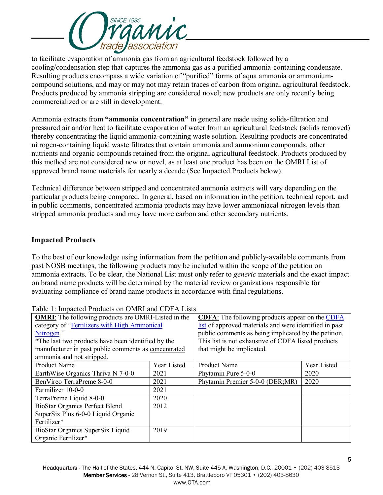

to facilitate evaporation of ammonia gas from an agricultural feedstock followed by a cooling/condensation step that captures the ammonia gas as a purified ammonia-containing condensate. Resulting products encompass a wide variation of "purified" forms of aqua ammonia or ammoniumcompound solutions, and may or may not may retain traces of carbon from original agricultural feedstock. Products produced by ammonia stripping are considered novel; new products are only recently being commercialized or are still in development.

Ammonia extracts from **"ammonia concentration"** in general are made using solids-filtration and pressured air and/or heat to facilitate evaporation of water from an agricultural feedstock (solids removed) thereby concentrating the liquid ammonia-containing waste solution. Resulting products are concentrated nitrogen-containing liquid waste filtrates that contain ammonia and ammonium compounds, other nutrients and organic compounds retained from the original agricultural feedstock. Products produced by this method are not considered new or novel, as at least one product has been on the OMRI List of approved brand name materials for nearly a decade (See Impacted Products below).

Technical difference between stripped and concentrated ammonia extracts will vary depending on the particular products being compared. In general, based on information in the petition, technical report, and in public comments, concentrated ammonia products may have lower ammoniacal nitrogen levels than stripped ammonia products and may have more carbon and other secondary nutrients.

#### **Impacted Products**

To the best of our knowledge using information from the petition and publicly-available comments from past NOSB meetings, the following products may be included within the scope of the petition on ammonia extracts. To be clear, the National List must only refer to *generic* materials and the exact impact on brand name products will be determined by the material review organizations responsible for evaluating compliance of brand name products in accordance with final regulations.

| <b>OMRI:</b> The following products are OMRI-Listed in the<br>category of "Fertilizers with High Ammonical<br>Nitrogen."<br>*The last two products have been identified by the<br>manufacturer in past public comments as concentrated<br>ammonia and not stripped. |             | <b>CDFA:</b> The following products appear on the CDFA<br>list of approved materials and were identified in past<br>public comments as being implicated by the petition.<br>This list is not exhaustive of CDFA listed products<br>that might be implicated. |             |
|---------------------------------------------------------------------------------------------------------------------------------------------------------------------------------------------------------------------------------------------------------------------|-------------|--------------------------------------------------------------------------------------------------------------------------------------------------------------------------------------------------------------------------------------------------------------|-------------|
| Product Name                                                                                                                                                                                                                                                        | Year Listed | Product Name                                                                                                                                                                                                                                                 | Year Listed |
| EarthWise Organics Thriva N 7-0-0                                                                                                                                                                                                                                   | 2021        | Phytamin Pure 5-0-0                                                                                                                                                                                                                                          | 2020        |
| BenVireo TerraPreme 8-0-0                                                                                                                                                                                                                                           | 2021        | Phytamin Premier 5-0-0 (DER;MR)                                                                                                                                                                                                                              | 2020        |
| Farmilizer 10-0-0                                                                                                                                                                                                                                                   | 2021        |                                                                                                                                                                                                                                                              |             |
| TerraPreme Liquid 8-0-0                                                                                                                                                                                                                                             | 2020        |                                                                                                                                                                                                                                                              |             |
| <b>BioStar Organics Perfect Blend</b>                                                                                                                                                                                                                               | 2012        |                                                                                                                                                                                                                                                              |             |
| SuperSix Plus 6-0-0 Liquid Organic                                                                                                                                                                                                                                  |             |                                                                                                                                                                                                                                                              |             |
| Fertilizer*                                                                                                                                                                                                                                                         |             |                                                                                                                                                                                                                                                              |             |
| BioStar Organics SuperSix Liquid<br>Organic Fertilizer*                                                                                                                                                                                                             | 2019        |                                                                                                                                                                                                                                                              |             |

Table 1: Impacted Products on OMRI and CDFA Lists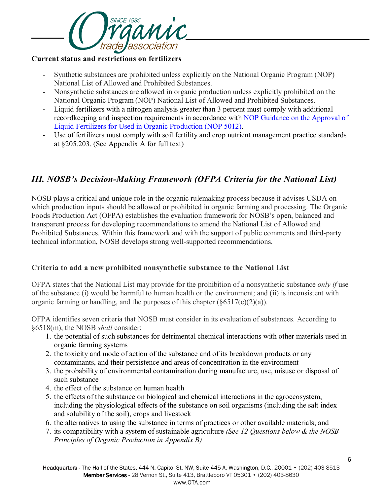

#### **Current status and restrictions on fertilizers**

- Synthetic substances are prohibited unless explicitly on the National Organic Program (NOP) National List of Allowed and Prohibited Substances.
- Nonsynthetic substances are allowed in organic production unless explicitly prohibited on the National Organic Program (NOP) National List of Allowed and Prohibited Substances.
- *-* Liquid fertilizers with a nitrogen analysis greater than 3 percent must comply with additional recordkeeping and inspection requirements in accordance with [NOP Guidance on the Approval of](https://www.ams.usda.gov/sites/default/files/media/5012.pdf)  [Liquid Fertilizers for Used in Organic Production \(NOP 5012\).](https://www.ams.usda.gov/sites/default/files/media/5012.pdf)
- *-* Use of fertilizers must comply with soil fertility and crop nutrient management practice standards at §205.203. (See Appendix A for full text)

# *III. NOSB's Decision-Making Framework (OFPA Criteria for the National List)*

NOSB plays a critical and unique role in the organic rulemaking process because it advises USDA on which production inputs should be allowed or prohibited in organic farming and processing. The Organic Foods Production Act (OFPA) establishes the evaluation framework for NOSB's open, balanced and transparent process for developing recommendations to amend the National List of Allowed and Prohibited Substances. Within this framework and with the support of public comments and third-party technical information, NOSB develops strong well-supported recommendations.

#### **Criteria to add a new prohibited nonsynthetic substance to the National List**

OFPA states that the National List may provide for the prohibition of a nonsynthetic substance *only if* use of the substance (i) would be harmful to human health or the environment; and (ii) is inconsistent with organic farming or handling, and the purposes of this chapter  $(\frac{66517(c)(2)}{a})$ .

OFPA identifies seven criteria that NOSB must consider in its evaluation of substances. According to §6518(m), the NOSB *shall* consider:

- 1. the potential of such substances for detrimental chemical interactions with other materials used in organic farming systems
- 2. the toxicity and mode of action of the substance and of its breakdown products or any contaminants, and their persistence and areas of concentration in the environment
- 3. the probability of environmental contamination during manufacture, use, misuse or disposal of such substance
- 4. the effect of the substance on human health
- 5. the effects of the substance on biological and chemical interactions in the agroecosystem, including the physiological effects of the substance on soil organisms (including the salt index and solubility of the soil), crops and livestock
- 6. the alternatives to using the substance in terms of practices or other available materials; and
- 7. its compatibility with a system of sustainable agriculture *(See 12 Questions below & the NOSB Principles of Organic Production in Appendix B)*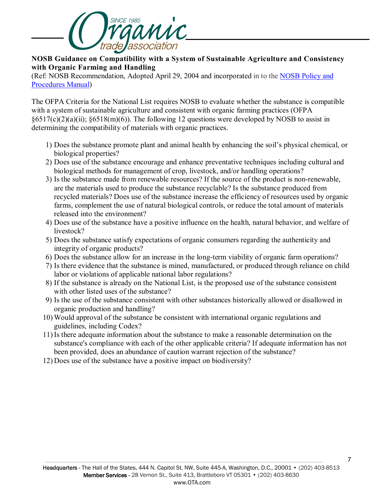

#### **NOSB Guidance on Compatibility with a System of Sustainable Agriculture and Consistency with Organic Farming and Handling**

(Ref: NOSB Recommendation, Adopted April 29, 2004 and incorporated in to the [NOSB Policy and](https://www.ams.usda.gov/sites/default/files/media/NOSB-PolicyManual.pdf)  [Procedures Manual\)](https://www.ams.usda.gov/sites/default/files/media/NOSB-PolicyManual.pdf)

The OFPA Criteria for the National List requires NOSB to evaluate whether the substance is compatible with a system of sustainable agriculture and consistent with organic farming practices (OFPA  $\frac{6517(c)(2)(a)(ii)}{86518(m)(6)}$ . The following 12 questions were developed by NOSB to assist in determining the compatibility of materials with organic practices.

- 1) Does the substance promote plant and animal health by enhancing the soil's physical chemical, or biological properties?
- 2) Does use of the substance encourage and enhance preventative techniques including cultural and biological methods for management of crop, livestock, and/or handling operations?
- 3) Is the substance made from renewable resources? If the source of the product is non-renewable, are the materials used to produce the substance recyclable? Is the substance produced from recycled materials? Does use of the substance increase the efficiency of resources used by organic farms, complement the use of natural biological controls, or reduce the total amount of materials released into the environment?
- 4) Does use of the substance have a positive influence on the health, natural behavior, and welfare of livestock?
- 5) Does the substance satisfy expectations of organic consumers regarding the authenticity and integrity of organic products?
- 6) Does the substance allow for an increase in the long-term viability of organic farm operations?
- 7) Is there evidence that the substance is mined, manufactured, or produced through reliance on child labor or violations of applicable national labor regulations?
- 8) If the substance is already on the National List, is the proposed use of the substance consistent with other listed uses of the substance?
- 9) Is the use of the substance consistent with other substances historically allowed or disallowed in organic production and handling?
- 10) Would approval of the substance be consistent with international organic regulations and guidelines, including Codex?
- 11) Is there adequate information about the substance to make a reasonable determination on the substance's compliance with each of the other applicable criteria? If adequate information has not been provided, does an abundance of caution warrant rejection of the substance?
- 12) Does use of the substance have a positive impact on biodiversity?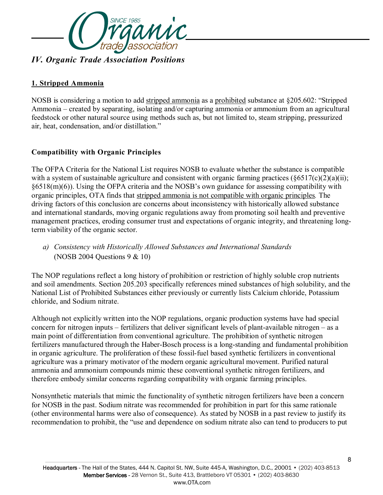

#### **1. Stripped Ammonia**

NOSB is considering a motion to add stripped ammonia as a prohibited substance at §205.602: "Stripped Ammonia – created by separating, isolating and/or capturing ammonia or ammonium from an agricultural feedstock or other natural source using methods such as, but not limited to, steam stripping, pressurized air, heat, condensation, and/or distillation."

#### **Compatibility with Organic Principles**

The OFPA Criteria for the National List requires NOSB to evaluate whether the substance is compatible with a system of sustainable agriculture and consistent with organic farming practices  $(\xi 6517(c)(2)(a)(ii);$ §6518(m)(6)). Using the OFPA criteria and the NOSB's own guidance for assessing compatibility with organic principles, OTA finds that stripped ammonia is not compatible with organic principles*.* The driving factors of this conclusion are concerns about inconsistency with historically allowed substance and international standards, moving organic regulations away from promoting soil health and preventive management practices, eroding consumer trust and expectations of organic integrity, and threatening longterm viability of the organic sector.

*a) Consistency with Historically Allowed Substances and International Standards* (NOSB 2004 Questions 9 & 10)

The NOP regulations reflect a long history of prohibition or restriction of highly soluble crop nutrients and soil amendments. Section 205.203 specifically references mined substances of high solubility, and the National List of Prohibited Substances either previously or currently lists Calcium chloride, Potassium chloride, and Sodium nitrate.

Although not explicitly written into the NOP regulations, organic production systems have had special concern for nitrogen inputs – fertilizers that deliver significant levels of plant-available nitrogen – as a main point of differentiation from conventional agriculture. The prohibition of synthetic nitrogen fertilizers manufactured through the Haber-Bosch process is a long-standing and fundamental prohibition in organic agriculture. The proliferation of these fossil-fuel based synthetic fertilizers in conventional agriculture was a primary motivator of the modern organic agricultural movement. Purified natural ammonia and ammonium compounds mimic these conventional synthetic nitrogen fertilizers, and therefore embody similar concerns regarding compatibility with organic farming principles.

Nonsynthetic materials that mimic the functionality of synthetic nitrogen fertilizers have been a concern for NOSB in the past. Sodium nitrate was recommended for prohibition in part for this same rationale (other environmental harms were also of consequence). As stated by NOSB in a past review to justify its recommendation to prohibit, the "use and dependence on sodium nitrate also can tend to producers to put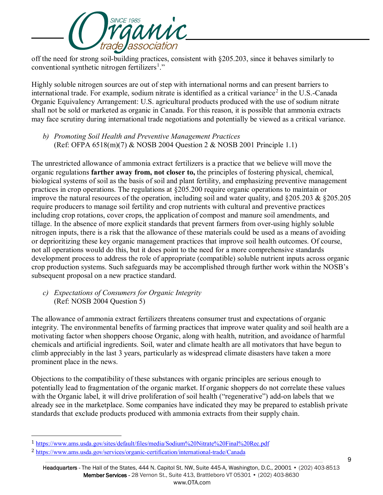

off the need for strong soil-building practices, consistent with §205.203, since it behaves similarly to conventional synthetic nitrogen fertilizers<sup>[1](#page-8-0)</sup>."

Highly soluble nitrogen sources are out of step with international norms and can present barriers to international trade. For example, sodium nitrate is identified as a critical variance<sup>[2](#page-8-1)</sup> in the U.S.-Canada Organic Equivalency Arrangement: U.S. agricultural products produced with the use of sodium nitrate shall not be sold or marketed as organic in Canada. For this reason, it is possible that ammonia extracts may face scrutiny during international trade negotiations and potentially be viewed as a critical variance.

*b) Promoting Soil Health and Preventive Management Practices* (Ref: OFPA 6518(m)(7) & NOSB 2004 Question 2 & NOSB 2001 Principle 1.1)

The unrestricted allowance of ammonia extract fertilizers is a practice that we believe will move the organic regulations **farther away from, not closer to,** the principles of fostering physical, chemical, biological systems of soil as the basis of soil and plant fertility, and emphasizing preventive management practices in crop operations. The regulations at §205.200 require organic operations to maintain or improve the natural resources of the operation, including soil and water quality, and §205.203 & §205.205 require producers to manage soil fertility and crop nutrients with cultural and preventive practices including crop rotations, cover crops, the application of compost and manure soil amendments, and tillage. In the absence of more explicit standards that prevent farmers from over-using highly soluble nitrogen inputs, there is a risk that the allowance of these materials could be used as a means of avoiding or deprioritizing these key organic management practices that improve soil health outcomes. Of course, not all operations would do this, but it does point to the need for a more comprehensive standards development process to address the role of appropriate (compatible) soluble nutrient inputs across organic crop production systems. Such safeguards may be accomplished through further work within the NOSB's subsequent proposal on a new practice standard.

*c) Expectations of Consumers for Organic Integrity* (Ref: NOSB 2004 Question 5)

The allowance of ammonia extract fertilizers threatens consumer trust and expectations of organic integrity. The environmental benefits of farming practices that improve water quality and soil health are a motivating factor when shoppers choose Organic, along with health, nutrition, and avoidance of harmful chemicals and artificial ingredients. Soil, water and climate health are all motivators that have begun to climb appreciably in the last 3 years, particularly as widespread climate disasters have taken a more prominent place in the news.

Objections to the compatibility of these substances with organic principles are serious enough to potentially lead to fragmentation of the organic market. If organic shoppers do not correlate these values with the Organic label, it will drive proliferation of soil health ("regenerative") add-on labels that we already see in the marketplace. Some companies have indicated they may be prepared to establish private standards that exclude products produced with ammonia extracts from their supply chain.

-

<span id="page-8-0"></span><sup>1</sup> <https://www.ams.usda.gov/sites/default/files/media/Sodium%20Nitrate%20Final%20Rec.pdf>

<span id="page-8-1"></span><sup>2</sup> <https://www.ams.usda.gov/services/organic-certification/international-trade/Canada>

Headquarters - The Hall of the States, 444 N. Capitol St. NW, Suite 445-A, Washington, D.C., 20001 • (202) 403-8513 Member Services - 28 Vernon St., Suite 413, Brattleboro VT 05301 • (202) 403-8630 www.OTA.com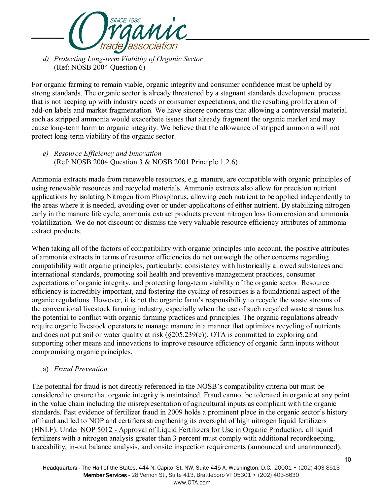

*d) Protecting Long-term Viability of Organic Sector* (Ref: NOSB 2004 Question 6)

For organic farming to remain viable, organic integrity and consumer confidence must be upheld by strong standards. The organic sector is already threatened by a stagnant standards development process that is not keeping up with industry needs or consumer expectations, and the resulting proliferation of add-on labels and market fragmentation. We have sincere concerns that allowing a controversial material such as stripped ammonia would exacerbate issues that already fragment the organic market and may cause long-term harm to organic integrity. We believe that the allowance of stripped ammonia will not protect long-term viability of the organic sector.

*e) Resource Efficiency and Innovation* (Ref: NOSB 2004 Question 3 & NOSB 2001 Principle 1.2.6)

Ammonia extracts made from renewable resources, e.g. manure, are compatible with organic principles of using renewable resources and recycled materials. Ammonia extracts also allow for precision nutrient applications by isolating Nitrogen from Phosphorus, allowing each nutrient to be applied independently to the areas where it is needed, avoiding over or under-applications of either nutrient. By stabilizing nitrogen early in the manure life cycle, ammonia extract products prevent nitrogen loss from erosion and ammonia volatilization. We do not discount or dismiss the very valuable resource efficiency attributes of ammonia extract products.

When taking all of the factors of compatibility with organic principles into account, the positive attributes of ammonia extracts in terms of resource efficiencies do not outweigh the other concerns regarding compatibility with organic principles, particularly: consistency with historically allowed substances and international standards, promoting soil health and preventive management practices, consumer expectations of organic integrity, and protecting long-term viability of the organic sector*.* Resource efficiency is incredibly important, and fostering the cycling of resources is a foundational aspect of the organic regulations. However, it is not the organic farm's responsibility to recycle the waste streams of the conventional livestock farming industry, especially when the use of such recycled waste streams has the potential to conflict with organic farming practices and principles. The organic regulations already require organic livestock operators to manage manure in a manner that optimizes recycling of nutrients and does not put soil or water quality at risk  $(\frac{205.239(e)}{e})$ . OTA is committed to exploring and supporting other means and innovations to improve resource efficiency of organic farm inputs without compromising organic principles.

## a) *Fraud Prevention*

The potential for fraud is not directly referenced in the NOSB's compatibility criteria but must be considered to ensure that organic integrity is maintained. Fraud cannot be tolerated in organic at any point in the value chain including the misrepresentation of agricultural inputs as compliant with the organic standards. Past evidence of fertilizer fraud in 2009 holds a prominent place in the organic sector's history of fraud and led to NOP and certifiers strengthening its oversight of high nitrogen liquid fertilizers (HNLF). Under NOP 5012 - [Approval of Liquid Fertilizers for Use in Organic Production,](https://www.ams.usda.gov/sites/default/files/media/5012.pdf) all liquid fertilizers with a nitrogen analysis greater than 3 percent must comply with additional recordkeeping, traceability, in-out balance analysis, and onsite inspection requirements (announced and unannounced).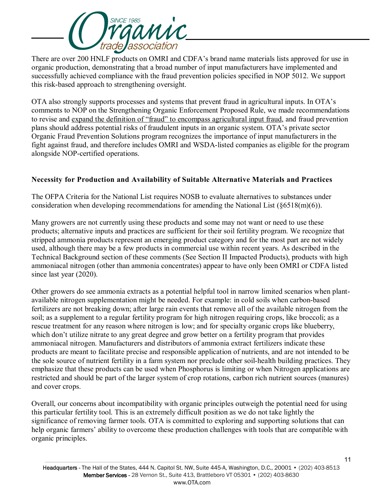

There are over 200 HNLF products on OMRI and CDFA's brand name materials lists approved for use in organic production, demonstrating that a broad number of input manufacturers have implemented and successfully achieved compliance with the fraud prevention policies specified in NOP 5012. We support this risk-based approach to strengthening oversight.

OTA also strongly supports processes and systems that prevent fraud in agricultural inputs. In OTA's comments to NOP on the Strengthening Organic Enforcement Proposed Rule, we made recommendations to revise and expand the definition of "fraud" to encompass agricultural input fraud, and fraud prevention plans should address potential risks of fraudulent inputs in an organic system. OTA's private sector Organic Fraud Prevention Solutions program recognizes the importance of input manufacturers in the fight against fraud, and therefore includes OMRI and WSDA-listed companies as eligible for the program alongside NOP-certified operations.

#### **Necessity for Production and Availability of Suitable Alternative Materials and Practices**

The OFPA Criteria for the National List requires NOSB to evaluate alternatives to substances under consideration when developing recommendations for amending the National List  $(\S 6518(m)(6))$ .

Many growers are not currently using these products and some may not want or need to use these products; alternative inputs and practices are sufficient for their soil fertility program. We recognize that stripped ammonia products represent an emerging product category and for the most part are not widely used, although there may be a few products in commercial use within recent years. As described in the Technical Background section of these comments (See Section II Impacted Products), products with high ammoniacal nitrogen (other than ammonia concentrates) appear to have only been OMRI or CDFA listed since last year (2020).

Other growers do see ammonia extracts as a potential helpful tool in narrow limited scenarios when plantavailable nitrogen supplementation might be needed. For example: in cold soils when carbon-based fertilizers are not breaking down; after large rain events that remove all of the available nitrogen from the soil; as a supplement to a regular fertility program for high nitrogen requiring crops, like broccoli; as a rescue treatment for any reason where nitrogen is low; and for specialty organic crops like blueberry, which don't utilize nitrate to any great degree and grow better on a fertility program that provides ammoniacal nitrogen. Manufacturers and distributors of ammonia extract fertilizers indicate these products are meant to facilitate precise and responsible application of nutrients, and are not intended to be the sole source of nutrient fertility in a farm system nor preclude other soil-health building practices. They emphasize that these products can be used when Phosphorus is limiting or when Nitrogen applications are restricted and should be part of the larger system of crop rotations, carbon rich nutrient sources (manures) and cover crops.

Overall, our concerns about incompatibility with organic principles outweigh the potential need for using this particular fertility tool. This is an extremely difficult position as we do not take lightly the significance of removing farmer tools. OTA is committed to exploring and supporting solutions that can help organic farmers' ability to overcome these production challenges with tools that are compatible with organic principles.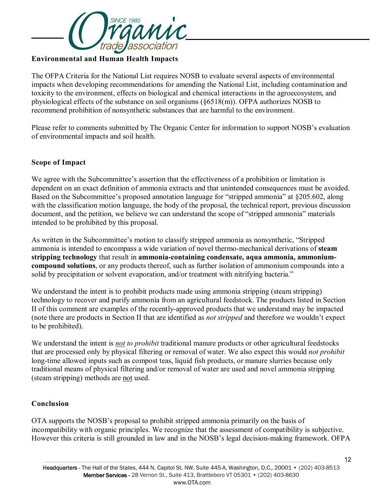

#### **Environmental and Human Health Impacts**

The OFPA Criteria for the National List requires NOSB to evaluate several aspects of environmental impacts when developing recommendations for amending the National List, including contamination and toxicity to the environment, effects on biological and chemical interactions in the agroecosystem, and physiological effects of the substance on soil organisms (§6518(m)). OFPA authorizes NOSB to recommend prohibition of nonsynthetic substances that are harmful to the environment.

Please refer to comments submitted by The Organic Center for information to support NOSB's evaluation of environmental impacts and soil health.

#### **Scope of Impact**

We agree with the Subcommittee's assertion that the effectiveness of a prohibition or limitation is dependent on an exact definition of ammonia extracts and that unintended consequences must be avoided. Based on the Subcommittee's proposed annotation language for "stripped ammonia" at §205.602, along with the classification motion language, the body of the proposal, the technical report, previous discussion document, and the petition, we believe we can understand the scope of "stripped ammonia" materials intended to be prohibited by this proposal.

As written in the Subcommittee's motion to classify stripped ammonia as nonsynthetic, "Stripped ammonia is intended to encompass a wide variation of novel thermo-mechanical derivations of **steam stripping technology** that result in **ammonia-containing condensate, aqua ammonia, ammoniumcompound solutions**, or any products thereof, such as further isolation of ammonium compounds into a solid by precipitation or solvent evaporation, and/or treatment with nitrifying bacteria."

We understand the intent is to prohibit products made using ammonia stripping (steam stripping) technology to recover and purify ammonia from an agricultural feedstock. The products listed in Section II of this comment are examples of the recently-approved products that we understand may be impacted (note there are products in Section II that are identified as *not stripped* and therefore we wouldn't expect to be prohibited).

We understand the intent is *not to prohibit* traditional manure products or other agricultural feedstocks that are processed only by physical filtering or removal of water. We also expect this would *not prohibit* long-time allowed inputs such as compost teas, liquid fish products, or manure slurries because only traditional means of physical filtering and/or removal of water are used and novel ammonia stripping (steam stripping) methods are not used.

#### **Conclusion**

OTA supports the NOSB's proposal to prohibit stripped ammonia primarily on the basis of incompatibility with organic principles. We recognize that the assessment of compatibility is subjective. However this criteria is still grounded in law and in the NOSB's legal decision-making framework. OFPA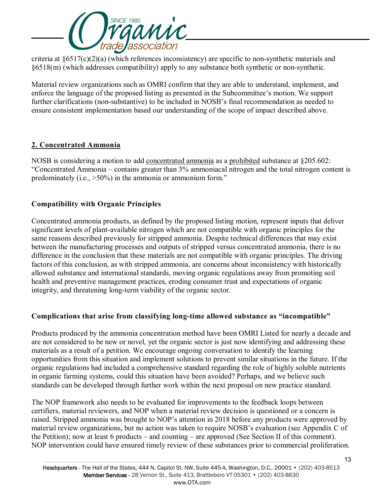

criteria at §6517(c)(2)(a) (which references inconsistency) are specific to non-synthetic materials and §6518(m) (which addresses compatibility) apply to any substance both synthetic or non-synthetic.

Material review organizations such as OMRI confirm that they are able to understand, implement, and enforce the language of the proposed listing as presented in the Subcommittee's motion. We support further clarifications (non-substantive) to be included in NOSB's final recommendation as needed to ensure consistent implementation based our understanding of the scope of impact described above.

#### **2. Concentrated Ammonia**

NOSB is considering a motion to add concentrated ammonia as a prohibited substance at §205.602: "Concentrated Ammonia – contains greater than 3% ammoniacal nitrogen and the total nitrogen content is predominately (i.e., >50%) in the ammonia or ammonium form."

## **Compatibility with Organic Principles**

Concentrated ammonia products, as defined by the proposed listing motion, represent inputs that deliver significant levels of plant-available nitrogen which are not compatible with organic principles for the same reasons described previously for stripped ammonia. Despite technical differences that may exist between the manufacturing processes and outputs of stripped versus concentrated ammonia, there is no difference in the conclusion that these materials are not compatible with organic principles. The driving factors of this conclusion, as with stripped ammonia, are concerns about inconsistency with historically allowed substance and international standards, moving organic regulations away from promoting soil health and preventive management practices, eroding consumer trust and expectations of organic integrity, and threatening long-term viability of the organic sector.

## **Complications that arise from classifying long-time allowed substance as "incompatible"**

Products produced by the ammonia concentration method have been OMRI Listed for nearly a decade and are not considered to be new or novel, yet the organic sector is just now identifying and addressing these materials as a result of a petition. We encourage ongoing conversation to identify the learning opportunities from this situation and implement solutions to prevent similar situations in the future. If the organic regulations had included a comprehensive standard regarding the role of highly soluble nutrients in organic farming systems, could this situation have been avoided? Perhaps, and we believe such standards can be developed through further work within the next proposal on new practice standard.

The NOP framework also needs to be evaluated for improvements to the feedback loops between certifiers, material reviewers, and NOP when a material review decision is questioned or a concern is raised. Stripped ammonia was brought to NOP's attention in 2018 before any products were approved by material review organizations, but no action was taken to require NOSB's evaluation (see Appendix C of the Petition); now at least 6 products – and counting – are approved (See Section II of this comment). NOP intervention could have ensured timely review of these substances prior to commercial proliferation.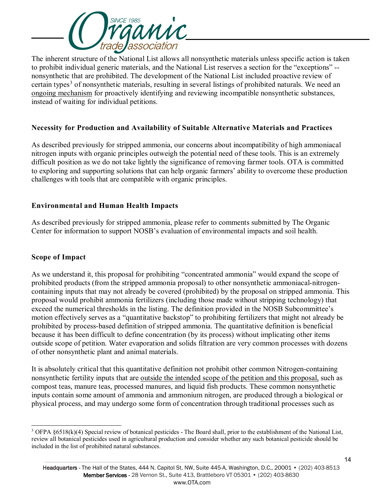

The inherent structure of the National List allows all nonsynthetic materials unless specific action is taken to prohibit individual generic materials, and the National List reserves a section for the "exceptions" - nonsynthetic that are prohibited. The development of the National List included proactive review of certain types<sup>[3](#page-13-0)</sup> of nonsynthetic materials, resulting in several listings of prohibited naturals. We need an ongoing mechanism for proactively identifying and reviewing incompatible nonsynthetic substances, instead of waiting for individual petitions.

#### **Necessity for Production and Availability of Suitable Alternative Materials and Practices**

As described previously for stripped ammonia, our concerns about incompatibility of high ammoniacal nitrogen inputs with organic principles outweigh the potential need of these tools. This is an extremely difficult position as we do not take lightly the significance of removing farmer tools. OTA is committed to exploring and supporting solutions that can help organic farmers' ability to overcome these production challenges with tools that are compatible with organic principles.

#### **Environmental and Human Health Impacts**

As described previously for stripped ammonia, please refer to comments submitted by The Organic Center for information to support NOSB's evaluation of environmental impacts and soil health.

#### **Scope of Impact**

As we understand it, this proposal for prohibiting "concentrated ammonia" would expand the scope of prohibited products (from the stripped ammonia proposal) to other nonsynthetic ammoniacal-nitrogencontaining inputs that may not already be covered (prohibited) by the proposal on stripped ammonia. This proposal would prohibit ammonia fertilizers (including those made without stripping technology) that exceed the numerical thresholds in the listing. The definition provided in the NOSB Subcommittee's motion effectively serves as a "quantitative backstop" to prohibiting fertilizers that might not already be prohibited by process-based definition of stripped ammonia. The quantitative definition is beneficial because it has been difficult to define concentration (by its process) without implicating other items outside scope of petition. Water evaporation and solids filtration are very common processes with dozens of other nonsynthetic plant and animal materials.

It is absolutely critical that this quantitative definition not prohibit other common Nitrogen-containing nonsynthetic fertility inputs that are outside the intended scope of the petition and this proposal, such as compost teas, manure teas, processed manures, and liquid fish products. These common nonsynthetic inputs contain some amount of ammonia and ammonium nitrogen, are produced through a biological or physical process, and may undergo some form of concentration through traditional processes such as

<span id="page-13-0"></span><sup>-</sup><sup>3</sup> OFPA §6518(k)(4) Special review of botanical pesticides - The Board shall, prior to the establishment of the National List, review all botanical pesticides used in agricultural production and consider whether any such botanical pesticide should be included in the list of prohibited natural substances.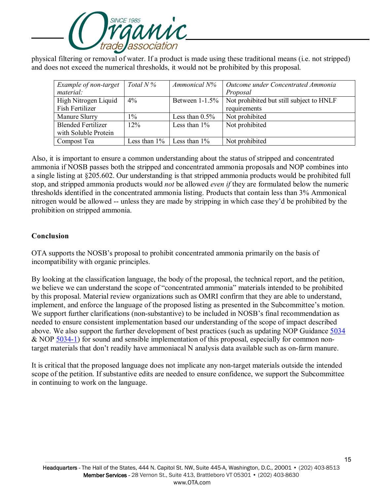

physical filtering or removal of water. If a product is made using these traditional means (i.e. not stripped) and does not exceed the numerical thresholds, it would not be prohibited by this proposal.

| Example of non-target     | Total $N\%$     | Ammonical N%      | Outcome under Concentrated Ammonia       |
|---------------------------|-----------------|-------------------|------------------------------------------|
| material:                 |                 |                   | Proposal                                 |
| High Nitrogen Liquid      | $4\%$           | Between $1-1.5%$  | Not prohibited but still subject to HNLF |
| Fish Fertilizer           |                 |                   | requirements                             |
| Manure Slurry             | 1%              | Less than $0.5\%$ | Not prohibited                           |
| <b>Blended Fertilizer</b> | 12%             | Less than $1\%$   | Not prohibited                           |
| with Soluble Protein      |                 |                   |                                          |
| Compost Tea               | Less than $1\%$ | Less than $1\%$   | Not prohibited                           |

Also, it is important to ensure a common understanding about the status of stripped and concentrated ammonia if NOSB passes both the stripped and concentrated ammonia proposals and NOP combines into a single listing at §205.602. Our understanding is that stripped ammonia products would be prohibited full stop, and stripped ammonia products would *not* be allowed *even if* they are formulated below the numeric thresholds identified in the concentrated ammonia listing. Products that contain less than 3% Ammonical nitrogen would be allowed -- unless they are made by stripping in which case they'd be prohibited by the prohibition on stripped ammonia.

#### **Conclusion**

OTA supports the NOSB's proposal to prohibit concentrated ammonia primarily on the basis of incompatibility with organic principles.

By looking at the classification language, the body of the proposal, the technical report, and the petition, we believe we can understand the scope of "concentrated ammonia" materials intended to be prohibited by this proposal. Material review organizations such as OMRI confirm that they are able to understand, implement, and enforce the language of the proposed listing as presented in the Subcommittee's motion. We support further clarifications (non-substantive) to be included in NOSB's final recommendation as needed to ensure consistent implementation based our understanding of the scope of impact described above. We also support the further development of best practices (such as updating NOP Guidance [5034](https://www.ams.usda.gov/sites/default/files/media/NOP-5034.pdf) & NOP [5034-1\)](https://www.ams.usda.gov/sites/default/files/media/NOP-5034-1.pdf) for sound and sensible implementation of this proposal, especially for common nontarget materials that don't readily have ammoniacal N analysis data available such as on-farm manure.

It is critical that the proposed language does not implicate any non-target materials outside the intended scope of the petition. If substantive edits are needed to ensure confidence, we support the Subcommittee in continuing to work on the language.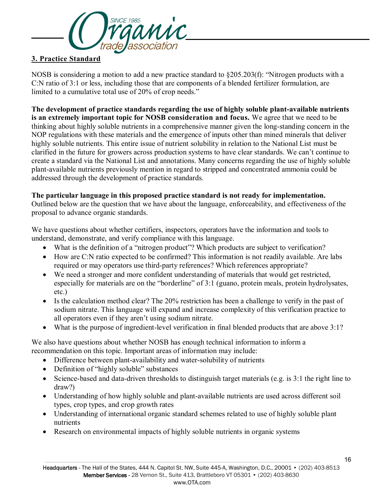

## **3. Practice Standard**

NOSB is considering a motion to add a new practice standard to §205.203(f): "Nitrogen products with a C:N ratio of 3:1 or less, including those that are components of a blended fertilizer formulation, are limited to a cumulative total use of 20% of crop needs."

**The development of practice standards regarding the use of highly soluble plant-available nutrients is an extremely important topic for NOSB consideration and focus.** We agree that we need to be thinking about highly soluble nutrients in a comprehensive manner given the long-standing concern in the NOP regulations with these materials and the emergence of inputs other than mined minerals that deliver highly soluble nutrients. This entire issue of nutrient solubility in relation to the National List must be clarified in the future for growers across production systems to have clear standards. We can't continue to create a standard via the National List and annotations. Many concerns regarding the use of highly soluble plant-available nutrients previously mention in regard to stripped and concentrated ammonia could be addressed through the development of practice standards.

#### **The particular language in this proposed practice standard is not ready for implementation.**

Outlined below are the question that we have about the language, enforceability, and effectiveness of the proposal to advance organic standards.

We have questions about whether certifiers, inspectors, operators have the information and tools to understand, demonstrate, and verify compliance with this language.

- What is the definition of a "nitrogen product"? Which products are subject to verification?
- How are C:N ratio expected to be confirmed? This information is not readily available. Are labs required or may operators use third-party references? Which references appropriate?
- We need a stronger and more confident understanding of materials that would get restricted, especially for materials are on the "borderline" of 3:1 (guano, protein meals, protein hydrolysates, etc.)
- Is the calculation method clear? The 20% restriction has been a challenge to verify in the past of sodium nitrate. This language will expand and increase complexity of this verification practice to all operators even if they aren't using sodium nitrate.
- What is the purpose of ingredient-level verification in final blended products that are above 3:1?

We also have questions about whether NOSB has enough technical information to inform a recommendation on this topic. Important areas of information may include:

- Difference between plant-availability and water-solubility of nutrients
- Definition of "highly soluble" substances
- Science-based and data-driven thresholds to distinguish target materials (e.g. is 3:1 the right line to draw?)
- Understanding of how highly soluble and plant-available nutrients are used across different soil types, crop types, and crop growth rates
- Understanding of international organic standard schemes related to use of highly soluble plant nutrients
- Research on environmental impacts of highly soluble nutrients in organic systems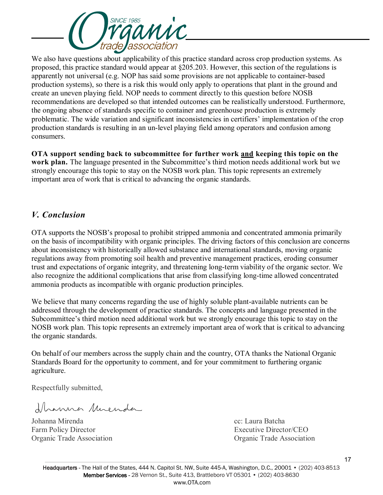

We also have questions about applicability of this practice standard across crop production systems. As proposed, this practice standard would appear at §205.203. However, this section of the regulations is apparently not universal (e.g. NOP has said some provisions are not applicable to container-based production systems), so there is a risk this would only apply to operations that plant in the ground and create an uneven playing field. NOP needs to comment directly to this question before NOSB recommendations are developed so that intended outcomes can be realistically understood. Furthermore, the ongoing absence of standards specific to container and greenhouse production is extremely problematic. The wide variation and significant inconsistencies in certifiers' implementation of the crop production standards is resulting in an un-level playing field among operators and confusion among consumers.

**OTA support sending back to subcommittee for further work and keeping this topic on the work plan.** The language presented in the Subcommittee's third motion needs additional work but we strongly encourage this topic to stay on the NOSB work plan. This topic represents an extremely important area of work that is critical to advancing the organic standards.

## *V. Conclusion*

OTA supports the NOSB's proposal to prohibit stripped ammonia and concentrated ammonia primarily on the basis of incompatibility with organic principles. The driving factors of this conclusion are concerns about inconsistency with historically allowed substance and international standards, moving organic regulations away from promoting soil health and preventive management practices, eroding consumer trust and expectations of organic integrity, and threatening long-term viability of the organic sector. We also recognize the additional complications that arise from classifying long-time allowed concentrated ammonia products as incompatible with organic production principles.

We believe that many concerns regarding the use of highly soluble plant-available nutrients can be addressed through the development of practice standards. The concepts and language presented in the Subcommittee's third motion need additional work but we strongly encourage this topic to stay on the NOSB work plan. This topic represents an extremely important area of work that is critical to advancing the organic standards.

On behalf of our members across the supply chain and the country, OTA thanks the National Organic Standards Board for the opportunity to comment, and for your commitment to furthering organic agriculture.

Respectfully submitted,

flammer Muenda

Johanna Mirenda cc: Laura Batcha Farm Policy Director **Executive Director** Executive Director **CEO** 

Organic Trade Association Organic Trade Association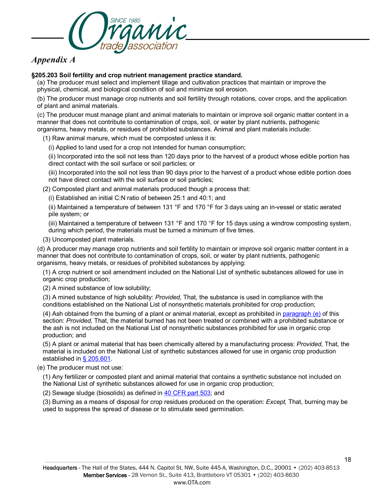

## *Appendix A*

#### **§205.203 Soil fertility and crop nutrient management practice standard.**

(a) The producer must select and implement tillage and cultivation practices that maintain or improve the physical, chemical, and biological condition of soil and minimize soil erosion.

(b) The producer must manage crop nutrients and soil fertility through rotations, cover crops, and the application of plant and animal materials.

(c) The producer must manage plant and animal materials to maintain or improve soil organic matter content in a manner that does not contribute to contamination of crops, soil, or water by plant nutrients, pathogenic organisms, heavy metals, or residues of prohibited substances. Animal and plant materials include:

(1) Raw animal manure, which must be composted unless it is:

(i) Applied to land used for a crop not intended for human consumption;

(ii) Incorporated into the soil not less than 120 days prior to the harvest of a product whose edible portion has direct contact with the soil surface or soil particles; or

(iii) Incorporated into the soil not less than 90 days prior to the harvest of a product whose edible portion does not have direct contact with the soil surface or soil particles;

(2) Composted plant and animal materials produced though a process that:

(i) Established an initial C:N ratio of between 25:1 and 40:1; and

(ii) Maintained a temperature of between 131 °F and 170 °F for 3 days using an in-vessel or static aerated pile system; or

(iii) Maintained a temperature of between 131 °F and 170 °F for 15 days using a windrow composting system, during which period, the materials must be turned a minimum of five times.

(3) Uncomposted plant materials.

(d) A producer may manage crop nutrients and soil fertility to maintain or improve soil organic matter content in a manner that does not contribute to contamination of crops, soil, or water by plant nutrients, pathogenic organisms, heavy metals, or residues of prohibited substances by applying:

(1) A crop nutrient or soil amendment included on the National List of synthetic substances allowed for use in organic crop production;

(2) A mined substance of low solubility;

(3) A mined substance of high solubility: *Provided,* That, the substance is used in compliance with the conditions established on the National List of nonsynthetic materials prohibited for crop production;

(4) Ash obtained from the burning of a plant or animal material, except as prohibited in [paragraph \(e\)](https://www.ecfr.gov/current/title-7/section-205.203#p-205.203(e)) of this section: *Provided,* That, the material burned has not been treated or combined with a prohibited substance or the ash is not included on the National List of nonsynthetic substances prohibited for use in organic crop production; and

(5) A plant or animal material that has been chemically altered by a manufacturing process: *Provided,* That, the material is included on the National List of synthetic substances allowed for use in organic crop production established in [§ 205.601.](https://www.ecfr.gov/current/title-7/section-205.601)

(e) The producer must not use:

(1) Any fertilizer or composted plant and animal material that contains a synthetic substance not included on the National List of synthetic substances allowed for use in organic crop production;

(2) Sewage sludge (biosolids) as defined in [40 CFR part 503;](https://www.ecfr.gov/current/title-40/part-503) and

(3) Burning as a means of disposal for crop residues produced on the operation: *Except,* That, burning may be used to suppress the spread of disease or to stimulate seed germination.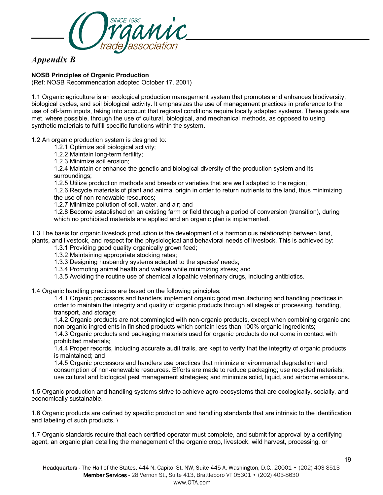

## *Appendix B*

#### **NOSB Principles of Organic Production**

(Ref: NOSB Recommendation adopted October 17, 2001)

1.1 Organic agriculture is an ecological production management system that promotes and enhances biodiversity, biological cycles, and soil biological activity. It emphasizes the use of management practices in preference to the use of off-farm inputs, taking into account that regional conditions require locally adapted systems. These goals are met, where possible, through the use of cultural, biological, and mechanical methods, as opposed to using synthetic materials to fulfill specific functions within the system.

#### 1.2 An organic production system is designed to:

- 1.2.1 Optimize soil biological activity;
- 1.2.2 Maintain long-term fertility;
- 1.2.3 Minimize soil erosion;

1.2.4 Maintain or enhance the genetic and biological diversity of the production system and its surroundings;

1.2.5 Utilize production methods and breeds or varieties that are well adapted to the region;

1.2.6 Recycle materials of plant and animal origin in order to return nutrients to the land, thus minimizing the use of non-renewable resources;

1.2.7 Minimize pollution of soil, water, and air; and

1.2.8 Become established on an existing farm or field through a period of conversion (transition), during which no prohibited materials are applied and an organic plan is implemented.

1.3 The basis for organic livestock production is the development of a harmonious relationship between land, plants, and livestock, and respect for the physiological and behavioral needs of livestock. This is achieved by:

1.3.1 Providing good quality organically grown feed;

1.3.2 Maintaining appropriate stocking rates;

1.3.3 Designing husbandry systems adapted to the species' needs;

- 1.3.4 Promoting animal health and welfare while minimizing stress; and
- 1.3.5 Avoiding the routine use of chemical allopathic veterinary drugs, including antibiotics.

1.4 Organic handling practices are based on the following principles:

1.4.1 Organic processors and handlers implement organic good manufacturing and handling practices in order to maintain the integrity and quality of organic products through all stages of processing, handling, transport, and storage;

1.4.2 Organic products are not commingled with non-organic products, except when combining organic and non-organic ingredients in finished products which contain less than 100% organic ingredients;

1.4.3 Organic products and packaging materials used for organic products do not come in contact with prohibited materials;

1.4.4 Proper records, including accurate audit trails, are kept to verify that the integrity of organic products is maintained; and

1.4.5 Organic processors and handlers use practices that minimize environmental degradation and consumption of non-renewable resources. Efforts are made to reduce packaging; use recycled materials; use cultural and biological pest management strategies; and minimize solid, liquid, and airborne emissions.

1.5 Organic production and handling systems strive to achieve agro-ecosystems that are ecologically, socially, and economically sustainable.

1.6 Organic products are defined by specific production and handling standards that are intrinsic to the identification and labeling of such products. \

1.7 Organic standards require that each certified operator must complete, and submit for approval by a certifying agent, an organic plan detailing the management of the organic crop, livestock, wild harvest, processing, or